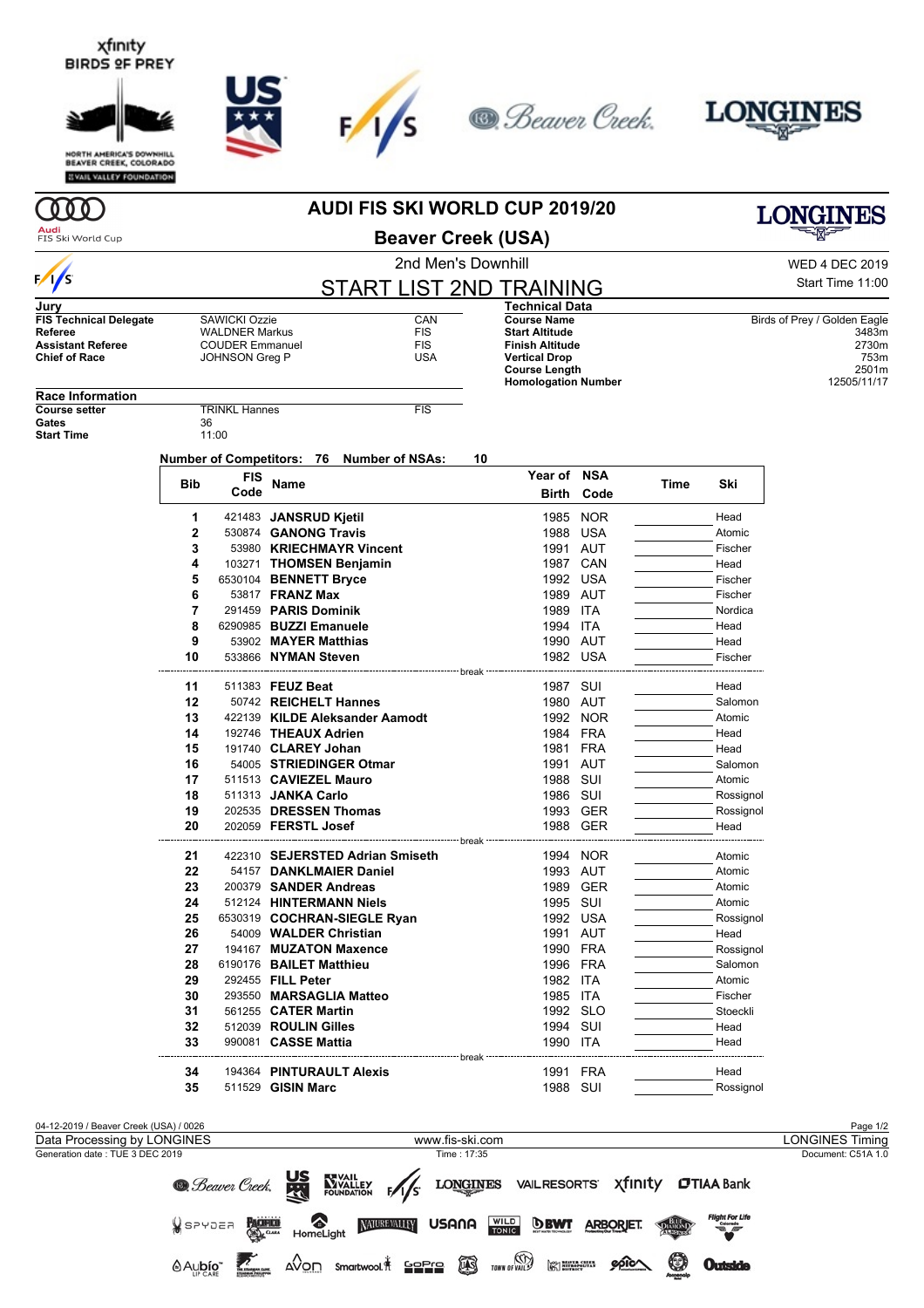





NORTH AMERICA'S DOWNHILL<br>BEAVER CREEK, COLORADO **EVAIL VALLEY FOUNDATION** 

#### **AUDI FIS SKI WORLD CUP 2019/20**



**MD** 

2nd Men's Downhill **Beaver Creek (USA)**

| WED 4 DEC 2019   |
|------------------|
| Start Time 11:00 |

**LONGINES** 

|                               |                              | ZIIU IVIGITS LJUWITHIII        |                                              |  |  |  |
|-------------------------------|------------------------------|--------------------------------|----------------------------------------------|--|--|--|
| $\sqrt{s}$                    |                              | <b>START LIST 2ND TRAINING</b> |                                              |  |  |  |
| Jury                          |                              |                                | <b>Technical Data</b>                        |  |  |  |
| <b>FIS Technical Delegate</b> | <b>SAWICKI Ozzie</b>         | CAN                            | <b>Course Name</b>                           |  |  |  |
| Referee                       | <b>WALDNER Markus</b>        | <b>FIS</b>                     | <b>Start Altitude</b>                        |  |  |  |
| <b>Assistant Referee</b>      | <b>COUDER Emmanuel</b>       | <b>FIS</b>                     | <b>Finish Altitude</b>                       |  |  |  |
| <b>Chief of Race</b>          | JOHNSON Greg P               | <b>USA</b>                     | <b>Vertical Drop</b><br><b>Course Length</b> |  |  |  |
|                               |                              |                                | <b>Homologation Num</b>                      |  |  |  |
| <b>Race Information</b>       |                              |                                |                                              |  |  |  |
| $A$                           | $T N N R T$ $T_{\text{max}}$ | <b>FIO</b>                     |                                              |  |  |  |

| <b>Technical Data</b>      |                              |
|----------------------------|------------------------------|
| <b>Course Name</b>         | Birds of Prey / Golden Eagle |
| <b>Start Altitude</b>      | 3483m                        |
| <b>Finish Altitude</b>     | 2730m                        |
| <b>Vertical Drop</b>       | 753m                         |
| <b>Course Length</b>       | 2501m                        |
| <b>Homologation Number</b> | 12505/11/17                  |

| Birds of Prey / Golden Eagle |             |
|------------------------------|-------------|
|                              | 3483m       |
|                              | 2730m       |
|                              | 753m        |
|                              | 2501m       |
|                              | 12505/11/17 |
|                              |             |

| <b>Race Information</b> |                      |     |
|-------------------------|----------------------|-----|
| <b>Course setter</b>    | <b>TRINKL Hannes</b> | FIS |
| Gates                   | 36                   |     |
| Start Time              | 11:00                |     |

**Number of Competitors: 76 Number of NSAs: 10**

| <b>FIS</b><br><b>Bib</b> | Name | Year of NSA                          |                                         | Time       | Ski |           |
|--------------------------|------|--------------------------------------|-----------------------------------------|------------|-----|-----------|
|                          | Code |                                      | <b>Birth</b>                            | Code       |     |           |
| 1                        |      | 421483 JANSRUD Kjetil                | 1985                                    | <b>NOR</b> |     | Head      |
| $\overline{2}$           |      | 530874 GANONG Travis                 | 1988                                    | <b>USA</b> |     | Atomic    |
| 3                        |      | 53980 KRIECHMAYR Vincent             | 1991 AUT                                |            |     | Fischer   |
| 4                        |      | 103271 THOMSEN Benjamin              |                                         | 1987 CAN   |     | Head      |
| 5                        |      | 6530104 BENNETT Bryce                | 1992 USA                                |            |     | Fischer   |
| 6                        |      | 53817 FRANZ Max                      | 1989 AUT                                |            |     | Fischer   |
| $\overline{7}$           |      | 291459 PARIS Dominik                 | 1989 ITA                                |            |     | Nordica   |
| 8                        |      | 6290985 BUZZI Emanuele               | 1994 ITA                                |            |     | Head      |
| 9                        |      | 53902 MAYER Matthias                 | 1990 AUT                                |            |     | Head      |
| 10                       |      | 533866 NYMAN Steven                  | 1982 USA                                |            |     | Fischer   |
|                          |      | ---------------------------- break - |                                         |            |     |           |
| 11                       |      | 511383 FEUZ Beat                     | 1987 SUI                                |            |     | Head      |
| 12                       |      | 50742 REICHELT Hannes                | 1980 AUT                                |            |     | Salomon   |
| 13                       |      | 422139 KILDE Aleksander Aamodt       |                                         | 1992 NOR   |     | Atomic    |
| 14                       |      | 192746 THEAUX Adrien                 | 1984 FRA                                |            |     | Head      |
| 15                       |      | 191740 CLAREY Johan                  | 1981 FRA                                |            |     | Head      |
| 16                       |      | 54005 STRIEDINGER Otmar              | 1991 AUT                                |            |     | Salomon   |
| 17                       |      | 511513 CAVIEZEL Mauro                | 1988 SUI                                |            |     | Atomic    |
| 18                       |      | 511313 JANKA Carlo                   | 1986 SUI                                |            |     | Rossignol |
| 19                       |      | 202535 DRESSEN Thomas                |                                         | 1993 GER   |     | Rossignol |
| 20                       |      | 202059 FERSTL Josef                  | 1988 GER                                |            |     | Head      |
| 21                       |      | 422310 SEJERSTED Adrian Smiseth      | ---------------------------<br>1994 NOR |            |     | Atomic    |
| 22                       |      | 54157 DANKLMAIER Daniel              | 1993 AUT                                |            |     | Atomic    |
| 23                       |      | 200379 SANDER Andreas                |                                         | 1989 GER   |     | Atomic    |
| 24                       |      | 512124 HINTERMANN Niels              | 1995 SUI                                |            |     | Atomic    |
| 25                       |      | 6530319 COCHRAN-SIEGLE Ryan          | 1992 USA                                |            |     | Rossignol |
| 26                       |      | 54009 WALDER Christian               | 1991 AUT                                |            |     | Head      |
| 27                       |      | 194167 MUZATON Maxence               | 1990 FRA                                |            |     | Rossignol |
| 28                       |      | 6190176 BAILET Matthieu              | 1996 FRA                                |            |     | Salomon   |
| 29                       |      | 292455 FILL Peter                    | 1982 ITA                                |            |     | Atomic    |
| 30                       |      | 293550 MARSAGLIA Matteo              | 1985 ITA                                |            |     | Fischer   |
| 31                       |      | 561255 CATER Martin                  | 1992 SLO                                |            |     | Stoeckli  |
| 32                       |      | 512039 ROULIN Gilles                 | 1994 SUI                                |            |     | Head      |
| 33                       |      | 990081 CASSE Mattia                  | 1990 ITA                                |            |     | Head      |
| 34                       |      | 194364 PINTURAULT Alexis             | break<br>1991 FRA                       |            |     | Head      |
| 35                       |      | 511529 GISIN Marc                    | 1988 SUI                                |            |     | Rossignol |
|                          |      |                                      |                                         |            |     |           |

| 04-12-2019 / Beaver Creek (USA) / 0026 |                                                                                | Page 1/2               |
|----------------------------------------|--------------------------------------------------------------------------------|------------------------|
| Data Processing by LONGINES            | www.fis-ski.com                                                                | <b>LONGINES Timing</b> |
| Generation date: TUE 3 DEC 2019        | Time: 17:35                                                                    | Document: C51A 1.0     |
|                                        | <b>Beaver Creek.</b> S EXALLEY FAS LONGINES VAILRESORTS Xfinity                | <b>OTIAA Bank</b>      |
| SPYDER PACIFIC                         | HomeLight MATUREVALLEY USANA<br><b>WILD</b><br>DBWT<br><b>ARBORJET.</b>        | Flight For Life<br>THE |
| ⊿Von<br>$A_{\text{UP CARE}}$           | TOWN OF VALLEY RESERVED<br>$\circledR$<br>$900 \triangle$<br>Smartwool # GOPIO | O<br>Outside           |